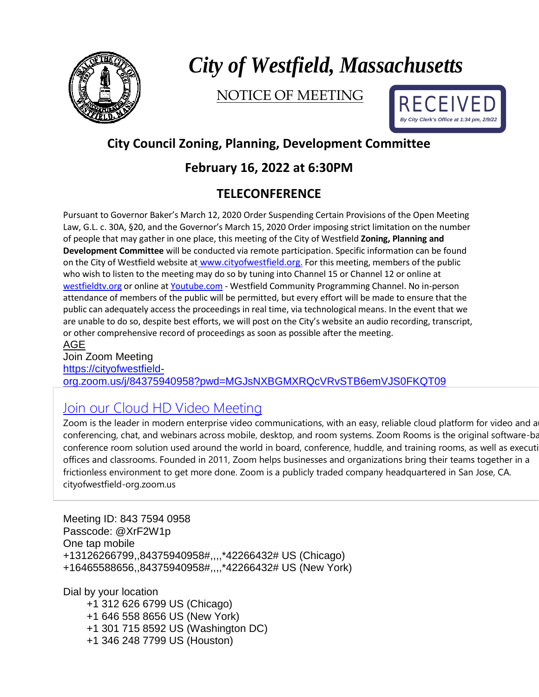

# *City of Westfield, Massachusetts*

NOTICE OF MEETING



## **City Council Zoning, Planning, Development Committee**

#### **February 16, 2022 at 6:30PM**

### **TELECONFERENCE**

Pursuant to Governor Baker's March 12, 2020 Order Suspending Certain Provisions of the Open Meeting Law, G.L. c. 30A, §20, and the Governor's March 15, 2020 Order imposing strict limitation on the number of people that may gather in one place, this meeting of the City of Westfield **Zoning, Planning and Development Committee** will be conducted via remote participation. Specific information can be found on the City of Westfield website at [www.cityofwestfield.org](http://www.cityofwestfield.org/). For this meeting, members of the public who wish to listen to the meeting may do so by tuning into Channel 15 or Channel 12 or online at [westfieldtv.org](http://westfieldtv.org/) or online at [Youtube.com](http://youtube.com/) - Westfield Community Programming Channel. No in-person attendance of members of the public will be permitted, but every effort will be made to ensure that the public can adequately access the proceedings in real time, via technological means. In the event that we are unable to do so, despite best efforts, we will post on the City's website an audio recording, transcript, or other comprehensive record of proceedings as soon as possible after the meeting. AGE

Join Zoom Meeting [https://cityofwestfield](https://cityofwestfield-org.zoom.us/j/84375940958?pwd=MGJsNXBGMXRQcVRvSTB6emVJS0FKQT09)[org.zoom.us/j/84375940958?pwd=MGJsNXBGMXRQcVRvSTB6emVJS0FKQT09](https://cityofwestfield-org.zoom.us/j/84375940958?pwd=MGJsNXBGMXRQcVRvSTB6emVJS0FKQT09)

# Join our Cloud HD Video [Meeting](https://cityofwestfield-org.zoom.us/j/84375940958?pwd=MGJsNXBGMXRQcVRvSTB6emVJS0FKQT09)

Zoom is the leader in modern enterprise video communications, with an easy, reliable cloud platform for video and a conferencing, chat, and webinars across mobile, desktop, and room systems. Zoom Rooms is the original software-ba conference room solution used around the world in board, conference, huddle, and training rooms, as well as executi offices and classrooms. Founded in 2011, Zoom helps businesses and organizations bring their teams together in a frictionless environment to get more done. Zoom is a publicly traded company headquartered in San Jose, CA. cityofwestfield-org.zoom.us

Meeting ID: 843 7594 0958 Passcode: @XrF2W1p One tap mobile +13126266799,,84375940958#,,,,\*42266432# US (Chicago) +16465588656,,84375940958#,,,,\*42266432# US (New York)

Dial by your location

+1 312 626 6799 US (Chicago) +1 646 558 8656 US (New York) +1 301 715 8592 US (Washington DC) +1 346 248 7799 US (Houston)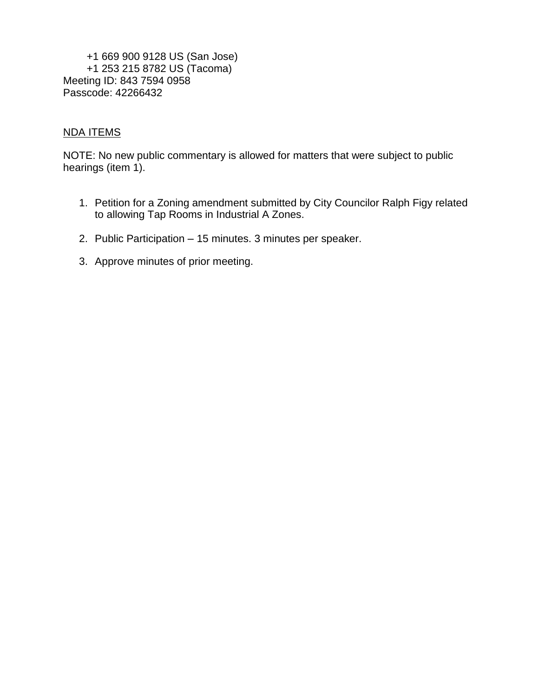+1 669 900 9128 US (San Jose) +1 253 215 8782 US (Tacoma) Meeting ID: 843 7594 0958 Passcode: 42266432

#### NDA ITEMS

NOTE: No new public commentary is allowed for matters that were subject to public hearings (item 1).

- 1. Petition for a Zoning amendment submitted by City Councilor Ralph Figy related to allowing Tap Rooms in Industrial A Zones.
- 2. Public Participation 15 minutes. 3 minutes per speaker.
- 3. Approve minutes of prior meeting.